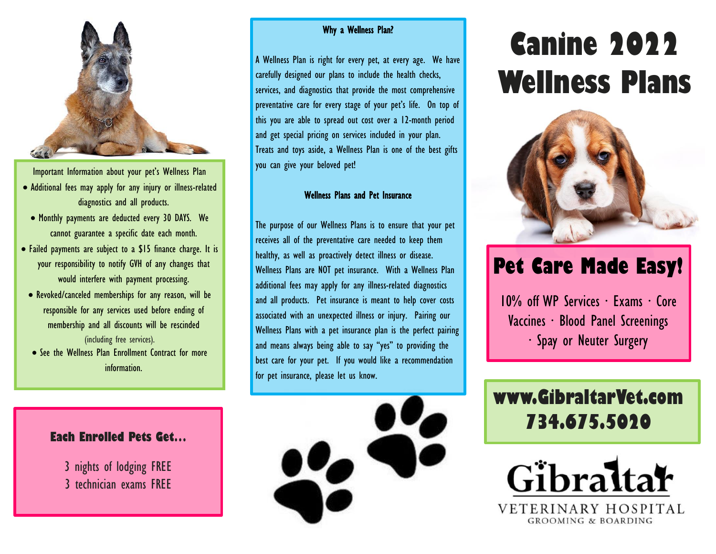

Important Information about your pet's Wellness Plan

- Additional fees may apply for any injury or illness-related diagnostics and all products.
	- Monthly payments are deducted every 30 DAYS. We cannot guarantee a specific date each month.
- Failed payments are subject to a \$15 finance charge. It is your responsibility to notify GVH of any changes that would interfere with payment processing.
- Revoked/canceled memberships for any reason, will be responsible for any services used before ending of membership and all discounts will be rescinded (including free services).
- See the Wellness Plan Enrollment Contract for more information.

#### **Each Enrolled Pets Get…**

3 nights of lodging FREE 3 technician exams FREE

#### Why a Wellness Plan?

A Wellness Plan is right for every pet, at every age. We have carefully designed our plans to include the health checks, services, and diagnostics that provide the most comprehensive preventative care for every stage of your pet's life. On top of this you are able to spread out cost over a 12-month period and get special pricing on services included in your plan. Treats and toys aside, a Wellness Plan is one of the best gifts you can give your beloved pet!

#### Wellness Plans and Pet Insurance

The purpose of our Wellness Plans is to ensure that your pet receives all of the preventative care needed to keep them healthy, as well as proactively detect illness or disease. Wellness Plans are NOT pet insurance. With a Wellness Plan additional fees may apply for any illness-related diagnostics and all products. Pet insurance is meant to help cover costs associated with an unexpected illness or injury. Pairing our Wellness Plans with a pet insurance plan is the perfect pairing and means always being able to say "yes" to providing the best care for your pet. If you would like a recommendation for pet insurance, please let us know.



# **Canine 2022 Wellness Plans**



# **Pet Care Made Easy!**

10% off WP Services ∙ Exams ∙ Core Vaccines ∙ Blood Panel Screenings ∙ Spay or Neuter Surgery

# **www.GibraltarVet.com 734.675.5020**